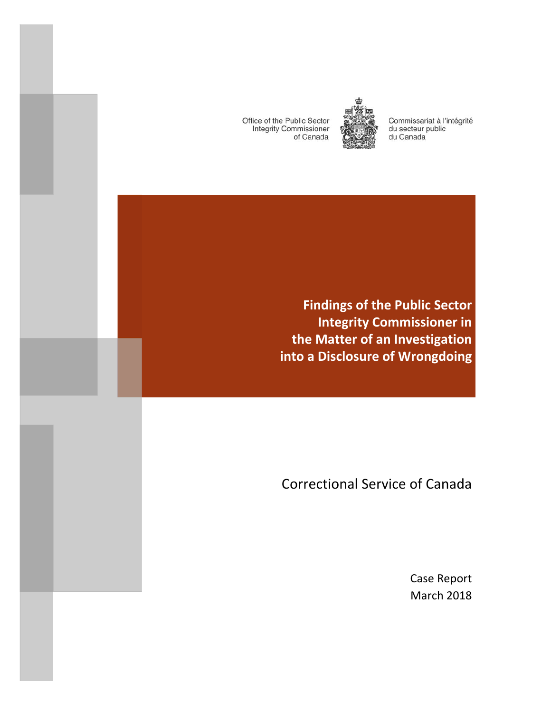Office of the Public Sector **Integrity Commissioner** of Canada

and the state of the state of the



Commissariat à l'intégrité du secteur public du Canada

**Findings of the Public Sector Integrity Commissioner in the Matter of an Investigation into a Disclosure of Wrongdoing**

Correctional Service of Canada

Case Report March 2018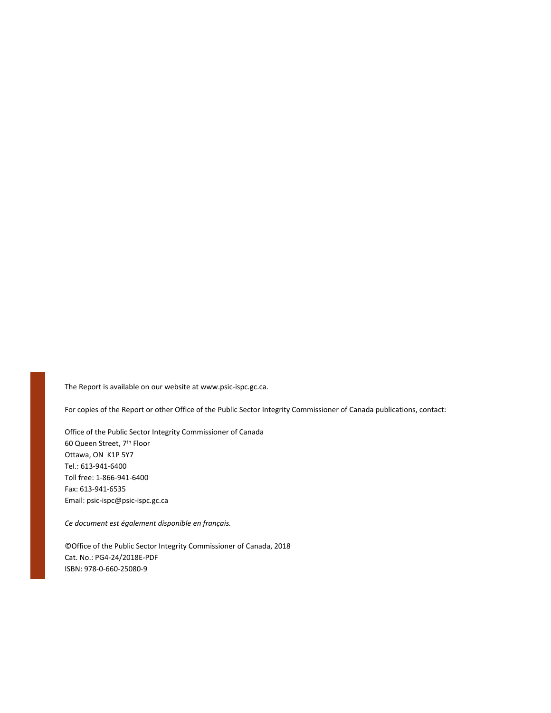The Report is available on our website at www.psic‐ispc.gc.ca.

For copies of the Report or other Office of the Public Sector Integrity Commissioner of Canada publications, contact:

Office of the Public Sector Integrity Commissioner of Canada 60 Queen Street, 7th Floor Ottawa, ON K1P 5Y7 Tel.: 613‐941‐6400 Toll free: 1‐866‐941‐6400 Fax: 613‐941‐6535 Email: psic‐ispc@psic‐ispc.gc.ca

*Ce document est également disponible en français.*

©Office of the Public Sector Integrity Commissioner of Canada, 2018 Cat. No.: PG4‐24/2018E‐PDF ISBN: 978‐0‐660‐25080‐9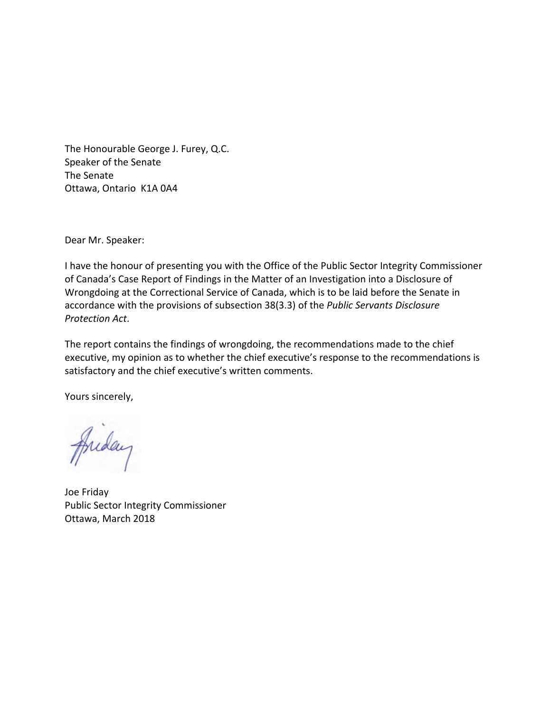The Honourable George J. Furey, Q.C. Speaker of the Senate The Senate Ottawa, Ontario K1A 0A4

Dear Mr. Speaker:

I have the honour of presenting you with the Office of the Public Sector Integrity Commissioner of Canada's Case Report of Findings in the Matter of an Investigation into a Disclosure of Wrongdoing at the Correctional Service of Canada, which is to be laid before the Senate in accordance with the provisions of subsection 38(3.3) of the *Public Servants Disclosure Protection Act*.

The report contains the findings of wrongdoing, the recommendations made to the chief executive, my opinion as to whether the chief executive's response to the recommendations is satisfactory and the chief executive's written comments.

Yours sincerely,

Anday

Joe Friday Public Sector Integrity Commissioner Ottawa, March 2018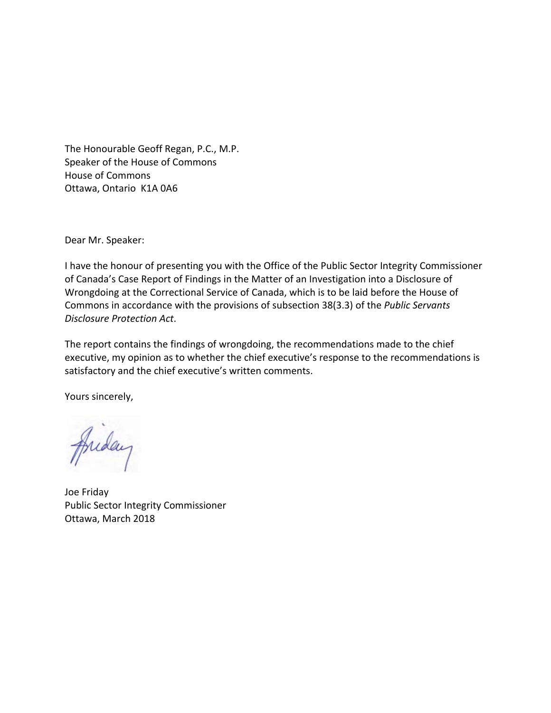The Honourable Geoff Regan, P.C., M.P. Speaker of the House of Commons House of Commons Ottawa, Ontario K1A 0A6

Dear Mr. Speaker:

I have the honour of presenting you with the Office of the Public Sector Integrity Commissioner of Canada's Case Report of Findings in the Matter of an Investigation into a Disclosure of Wrongdoing at the Correctional Service of Canada, which is to be laid before the House of Commons in accordance with the provisions of subsection 38(3.3) of the *Public Servants Disclosure Protection Act*.

The report contains the findings of wrongdoing, the recommendations made to the chief executive, my opinion as to whether the chief executive's response to the recommendations is satisfactory and the chief executive's written comments.

Yours sincerely,

Inday

Joe Friday Public Sector Integrity Commissioner Ottawa, March 2018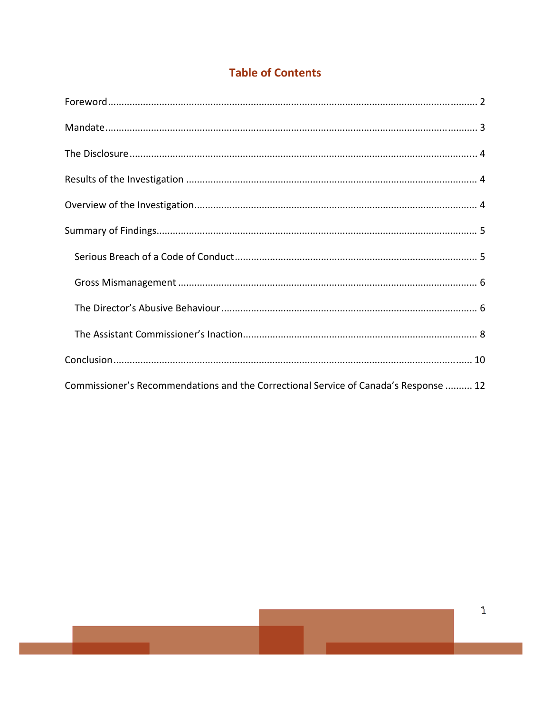# **Table of Contents**

| Commissioner's Recommendations and the Correctional Service of Canada's Response  12 |
|--------------------------------------------------------------------------------------|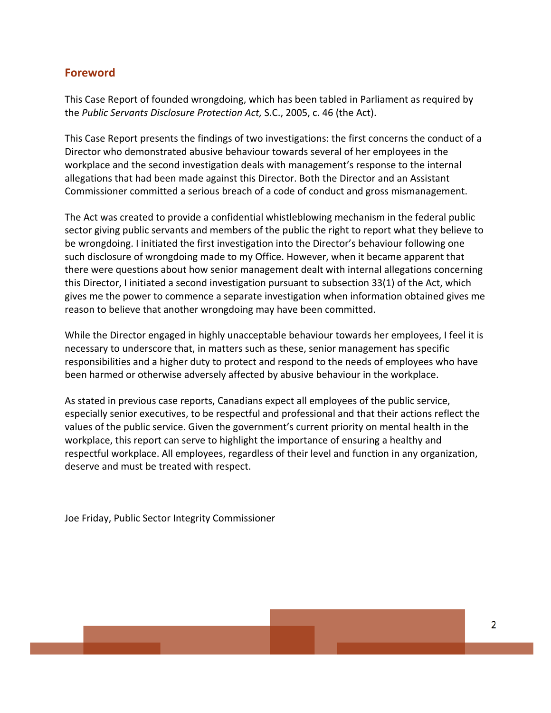# **Foreword**

This Case Report of founded wrongdoing, which has been tabled in Parliament as required by the *Public Servants Disclosure Protection Act,* S.C., 2005, c. 46 (the Act).

This Case Report presents the findings of two investigations: the first concerns the conduct of a Director who demonstrated abusive behaviour towards several of her employees in the workplace and the second investigation deals with management's response to the internal allegations that had been made against this Director. Both the Director and an Assistant Commissioner committed a serious breach of a code of conduct and gross mismanagement.

The Act was created to provide a confidential whistleblowing mechanism in the federal public sector giving public servants and members of the public the right to report what they believe to be wrongdoing. I initiated the first investigation into the Director's behaviour following one such disclosure of wrongdoing made to my Office. However, when it became apparent that there were questions about how senior management dealt with internal allegations concerning this Director, I initiated a second investigation pursuant to subsection 33(1) of the Act, which gives me the power to commence a separate investigation when information obtained gives me reason to believe that another wrongdoing may have been committed.

While the Director engaged in highly unacceptable behaviour towards her employees, I feel it is necessary to underscore that, in matters such as these, senior management has specific responsibilities and a higher duty to protect and respond to the needs of employees who have been harmed or otherwise adversely affected by abusive behaviour in the workplace.

As stated in previous case reports, Canadians expect all employees of the public service, especially senior executives, to be respectful and professional and that their actions reflect the values of the public service. Given the government's current priority on mental health in the workplace, this report can serve to highlight the importance of ensuring a healthy and respectful workplace. All employees, regardless of their level and function in any organization, deserve and must be treated with respect.

Joe Friday, Public Sector Integrity Commissioner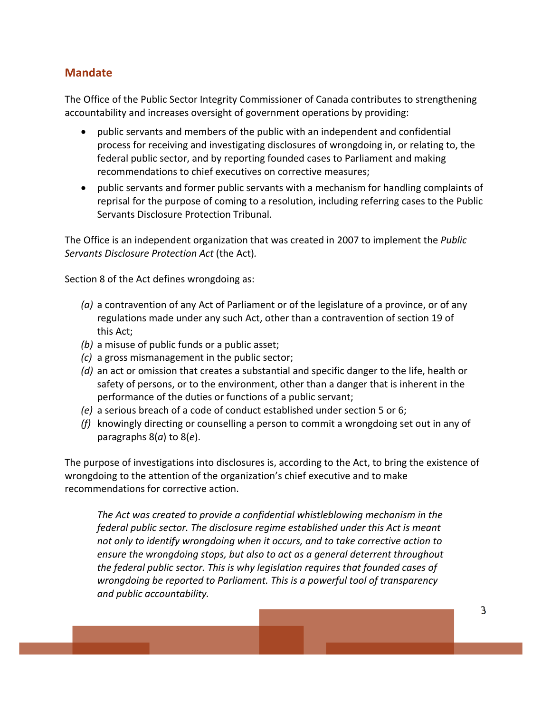# **Mandate**

The Office of the Public Sector Integrity Commissioner of Canada contributes to strengthening accountability and increases oversight of government operations by providing:

- public servants and members of the public with an independent and confidential process for receiving and investigating disclosures of wrongdoing in, or relating to, the federal public sector, and by reporting founded cases to Parliament and making recommendations to chief executives on corrective measures;
- public servants and former public servants with a mechanism for handling complaints of reprisal for the purpose of coming to a resolution, including referring cases to the Public Servants Disclosure Protection Tribunal.

The Office is an independent organization that was created in 2007 to implement the *Public Servants Disclosure Protection Act* (the Act)*.*

Section 8 of the Act defines wrongdoing as:

- *(a)* a contravention of any Act of Parliament or of the legislature of a province, or of any regulations made under any such Act, other than a contravention of section 19 of this Act;
- *(b)* a misuse of public funds or a public asset;
- *(c)* a gross mismanagement in the public sector;
- *(d)* an act or omission that creates a substantial and specific danger to the life, health or safety of persons, or to the environment, other than a danger that is inherent in the performance of the duties or functions of a public servant;
- *(e)* a serious breach of a code of conduct established under section 5 or 6;
- *(f)* knowingly directing or counselling a person to commit a wrongdoing set out in any of paragraphs 8(*a*) to 8(*e*).

The purpose of investigations into disclosures is, according to the Act, to bring the existence of wrongdoing to the attention of the organization's chief executive and to make recommendations for corrective action.

*The Act was created to provide a confidential whistleblowing mechanism in the federal public sector. The disclosure regime established under this Act is meant not only to identify wrongdoing when it occurs, and to take corrective action to ensure the wrongdoing stops, but also to act as a general deterrent throughout the federal public sector. This is why legislation requires that founded cases of wrongdoing be reported to Parliament. This is a powerful tool of transparency and public accountability.*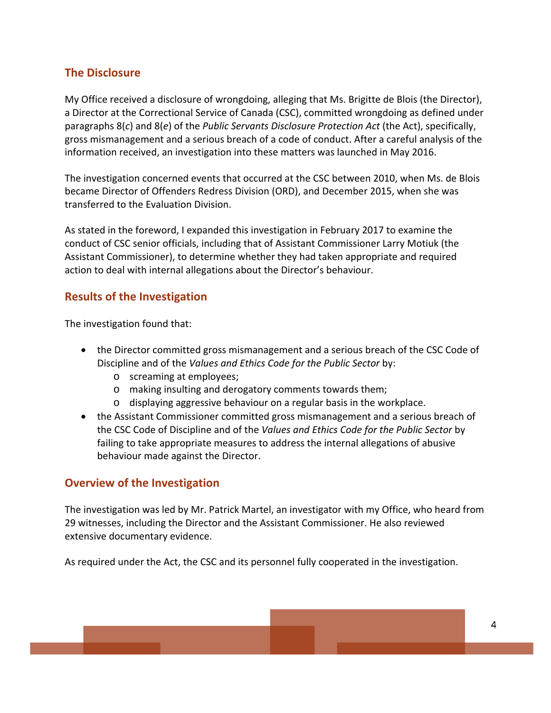# **The Disclosure**

My Office received a disclosure of wrongdoing, alleging that Ms. Brigitte de Blois (the Director), a Director at the Correctional Service of Canada (CSC), committed wrongdoing as defined under paragraphs 8(*c*) and 8(*e*) of the *Public Servants Disclosure Protection Act* (the Act), specifically, gross mismanagement and a serious breach of a code of conduct. After a careful analysis of the information received, an investigation into these matters was launched in May 2016.

The investigation concerned events that occurred at the CSC between 2010, when Ms. de Blois became Director of Offenders Redress Division (ORD), and December 2015, when she was transferred to the Evaluation Division.

As stated in the foreword, I expanded this investigation in February 2017 to examine the conduct of CSC senior officials, including that of Assistant Commissioner Larry Motiuk (the Assistant Commissioner), to determine whether they had taken appropriate and required action to deal with internal allegations about the Director's behaviour.

# **Results of the Investigation**

The investigation found that:

- the Director committed gross mismanagement and a serious breach of the CSC Code of Discipline and of the *Values and Ethics Code for the Public Sector* by:
	- o screaming at employees;
	- o making insulting and derogatory comments towards them;
	- o displaying aggressive behaviour on a regular basis in the workplace.
- the Assistant Commissioner committed gross mismanagement and a serious breach of the CSC Code of Discipline and of the *Values and Ethics Code for the Public Sector* by failing to take appropriate measures to address the internal allegations of abusive behaviour made against the Director.

# **Overview of the Investigation**

The investigation was led by Mr. Patrick Martel, an investigator with my Office, who heard from 29 witnesses, including the Director and the Assistant Commissioner. He also reviewed extensive documentary evidence.

As required under the Act, the CSC and its personnel fully cooperated in the investigation.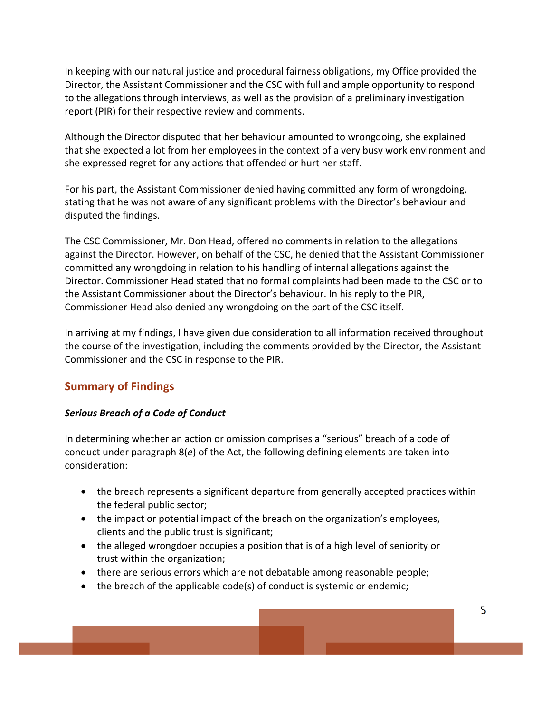In keeping with our natural justice and procedural fairness obligations, my Office provided the Director, the Assistant Commissioner and the CSC with full and ample opportunity to respond to the allegations through interviews, as well as the provision of a preliminary investigation report (PIR) for their respective review and comments.

Although the Director disputed that her behaviour amounted to wrongdoing, she explained that she expected a lot from her employees in the context of a very busy work environment and she expressed regret for any actions that offended or hurt her staff.

For his part, the Assistant Commissioner denied having committed any form of wrongdoing, stating that he was not aware of any significant problems with the Director's behaviour and disputed the findings.

The CSC Commissioner, Mr. Don Head, offered no comments in relation to the allegations against the Director. However, on behalf of the CSC, he denied that the Assistant Commissioner committed any wrongdoing in relation to his handling of internal allegations against the Director. Commissioner Head stated that no formal complaints had been made to the CSC or to the Assistant Commissioner about the Director's behaviour. In his reply to the PIR, Commissioner Head also denied any wrongdoing on the part of the CSC itself.

In arriving at my findings, I have given due consideration to all information received throughout the course of the investigation, including the comments provided by the Director, the Assistant Commissioner and the CSC in response to the PIR.

# **Summary of Findings**

#### *Serious Breach of a Code of Conduct*

In determining whether an action or omission comprises a "serious" breach of a code of conduct under paragraph 8(*e*) of the Act, the following defining elements are taken into consideration:

- the breach represents a significant departure from generally accepted practices within the federal public sector;
- the impact or potential impact of the breach on the organization's employees, clients and the public trust is significant;
- the alleged wrongdoer occupies a position that is of a high level of seniority or trust within the organization;
- there are serious errors which are not debatable among reasonable people;
- the breach of the applicable code(s) of conduct is systemic or endemic;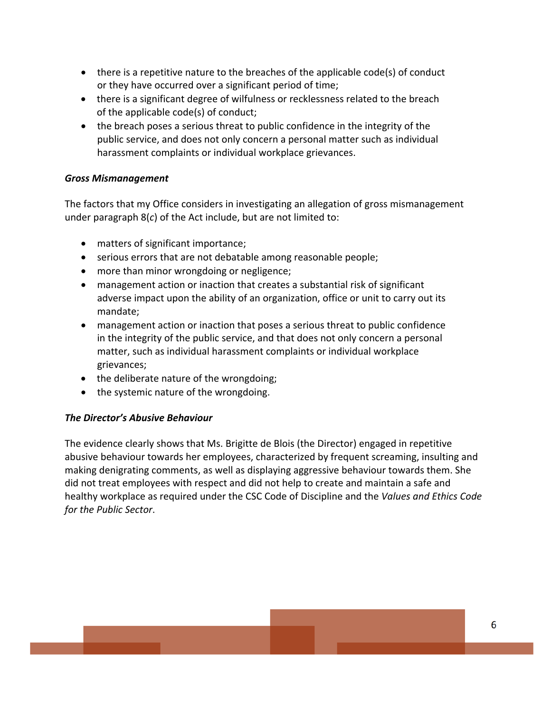- $\bullet$  there is a repetitive nature to the breaches of the applicable code(s) of conduct or they have occurred over a significant period of time;
- there is a significant degree of wilfulness or recklessness related to the breach of the applicable code(s) of conduct;
- the breach poses a serious threat to public confidence in the integrity of the public service, and does not only concern a personal matter such as individual harassment complaints or individual workplace grievances.

#### *Gross Mismanagement*

The factors that my Office considers in investigating an allegation of gross mismanagement under paragraph 8(*c*) of the Act include, but are not limited to:

- matters of significant importance;
- serious errors that are not debatable among reasonable people;
- more than minor wrongdoing or negligence;
- management action or inaction that creates a substantial risk of significant adverse impact upon the ability of an organization, office or unit to carry out its mandate;
- management action or inaction that poses a serious threat to public confidence in the integrity of the public service, and that does not only concern a personal matter, such as individual harassment complaints or individual workplace grievances;
- the deliberate nature of the wrongdoing;
- the systemic nature of the wrongdoing.

#### *The Director's Abusive Behaviour*

The evidence clearly shows that Ms. Brigitte de Blois (the Director) engaged in repetitive abusive behaviour towards her employees, characterized by frequent screaming, insulting and making denigrating comments, as well as displaying aggressive behaviour towards them. She did not treat employees with respect and did not help to create and maintain a safe and healthy workplace as required under the CSC Code of Discipline and the *Values and Ethics Code for the Public Sector*.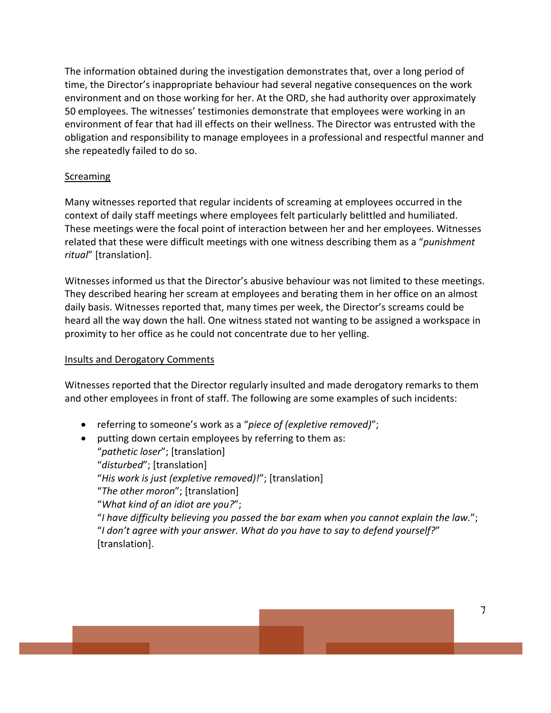The information obtained during the investigation demonstrates that, over a long period of time, the Director's inappropriate behaviour had several negative consequences on the work environment and on those working for her. At the ORD, she had authority over approximately 50 employees. The witnesses' testimonies demonstrate that employees were working in an environment of fear that had ill effects on their wellness. The Director was entrusted with the obligation and responsibility to manage employees in a professional and respectful manner and she repeatedly failed to do so.

#### **Screaming**

Many witnesses reported that regular incidents of screaming at employees occurred in the context of daily staff meetings where employees felt particularly belittled and humiliated. These meetings were the focal point of interaction between her and her employees. Witnesses related that these were difficult meetings with one witness describing them as a "*punishment ritual*" [translation].

Witnesses informed us that the Director's abusive behaviour was not limited to these meetings. They described hearing her scream at employees and berating them in her office on an almost daily basis. Witnesses reported that, many times per week, the Director's screams could be heard all the way down the hall. One witness stated not wanting to be assigned a workspace in proximity to her office as he could not concentrate due to her yelling.

#### Insults and Derogatory Comments

Witnesses reported that the Director regularly insulted and made derogatory remarks to them and other employees in front of staff. The following are some examples of such incidents:

- referring to someone's work as a "*piece of (expletive removed)*";
- putting down certain employees by referring to them as: "*pathetic loser*"; [translation] "*disturbed*"; [translation] "*His work is just (expletive removed)!*"; [translation] "*The other moron*"; [translation] "*What kind of an idiot are you?*";

"*I have difficulty believing you passed the bar exam when you cannot explain the law.*"; "*I don't agree with your answer. What do you have to say to defend yourself?*" [translation].

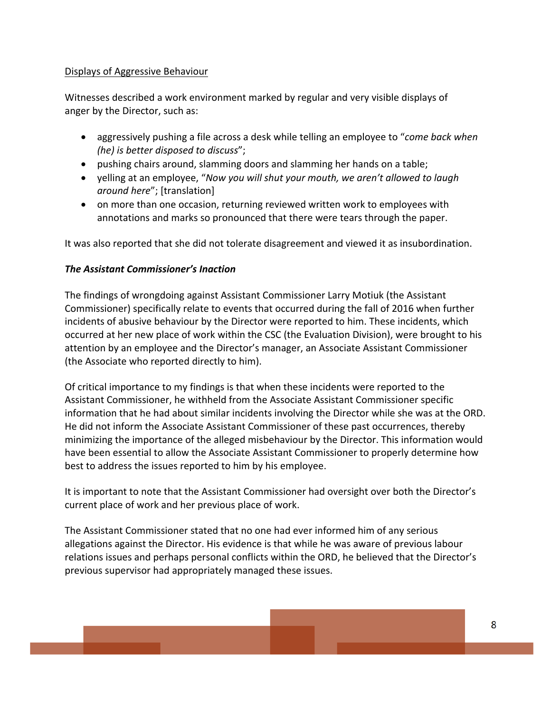#### Displays of Aggressive Behaviour

Witnesses described a work environment marked by regular and very visible displays of anger by the Director, such as:

- aggressively pushing a file across a desk while telling an employee to "*come back when (he) is better disposed to discuss*";
- pushing chairs around, slamming doors and slamming her hands on a table;
- yelling at an employee, "*Now you will shut your mouth, we aren't allowed to laugh around here*"; [translation]
- on more than one occasion, returning reviewed written work to employees with annotations and marks so pronounced that there were tears through the paper.

It was also reported that she did not tolerate disagreement and viewed it as insubordination.

#### *The Assistant Commissioner's Inaction*

The findings of wrongdoing against Assistant Commissioner Larry Motiuk (the Assistant Commissioner) specifically relate to events that occurred during the fall of 2016 when further incidents of abusive behaviour by the Director were reported to him. These incidents, which occurred at her new place of work within the CSC (the Evaluation Division), were brought to his attention by an employee and the Director's manager, an Associate Assistant Commissioner (the Associate who reported directly to him).

Of critical importance to my findings is that when these incidents were reported to the Assistant Commissioner, he withheld from the Associate Assistant Commissioner specific information that he had about similar incidents involving the Director while she was at the ORD. He did not inform the Associate Assistant Commissioner of these past occurrences, thereby minimizing the importance of the alleged misbehaviour by the Director. This information would have been essential to allow the Associate Assistant Commissioner to properly determine how best to address the issues reported to him by his employee.

It is important to note that the Assistant Commissioner had oversight over both the Director's current place of work and her previous place of work.

The Assistant Commissioner stated that no one had ever informed him of any serious allegations against the Director. His evidence is that while he was aware of previous labour relations issues and perhaps personal conflicts within the ORD, he believed that the Director's previous supervisor had appropriately managed these issues.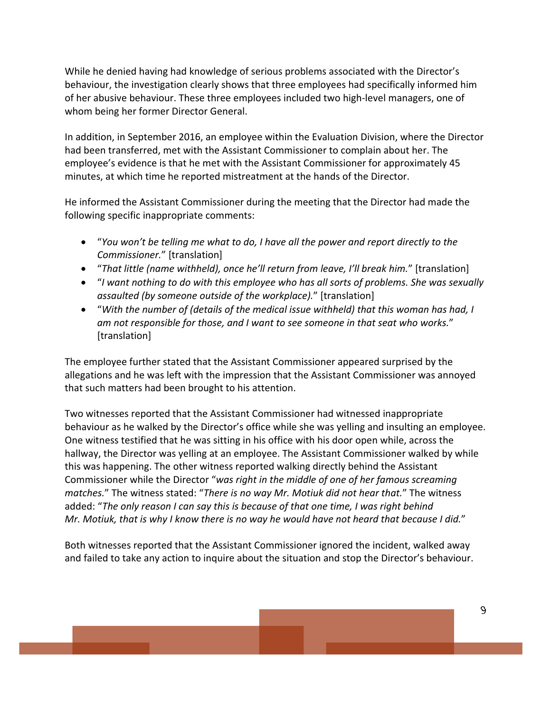While he denied having had knowledge of serious problems associated with the Director's behaviour, the investigation clearly shows that three employees had specifically informed him of her abusive behaviour. These three employees included two high‐level managers, one of whom being her former Director General.

In addition, in September 2016, an employee within the Evaluation Division, where the Director had been transferred, met with the Assistant Commissioner to complain about her. The employee's evidence is that he met with the Assistant Commissioner for approximately 45 minutes, at which time he reported mistreatment at the hands of the Director.

He informed the Assistant Commissioner during the meeting that the Director had made the following specific inappropriate comments:

- "*You won't be telling me what to do, I have all the power and report directly to the Commissioner.*" [translation]
- "*That little (name withheld), once he'll return from leave, I'll break him.*" [translation]
- "*I want nothing to do with this employee who has all sorts of problems. She was sexually assaulted (by someone outside of the workplace).*" [translation]
- "*With the number of (details of the medical issue withheld) that this woman has had, I am not responsible for those, and I want to see someone in that seat who works.*" [translation]

The employee further stated that the Assistant Commissioner appeared surprised by the allegations and he was left with the impression that the Assistant Commissioner was annoyed that such matters had been brought to his attention.

Two witnesses reported that the Assistant Commissioner had witnessed inappropriate behaviour as he walked by the Director's office while she was yelling and insulting an employee. One witness testified that he was sitting in his office with his door open while, across the hallway, the Director was yelling at an employee. The Assistant Commissioner walked by while this was happening. The other witness reported walking directly behind the Assistant Commissioner while the Director "*was right in the middle of one of her famous screaming matches.*" The witness stated: "*There is no way Mr. Motiuk did not hear that.*" The witness added: "*The only reason I can say this is because of that one time, I was right behind* Mr. Motiuk, that is why I know there is no way he would have not heard that because I did."

Both witnesses reported that the Assistant Commissioner ignored the incident, walked away and failed to take any action to inquire about the situation and stop the Director's behaviour.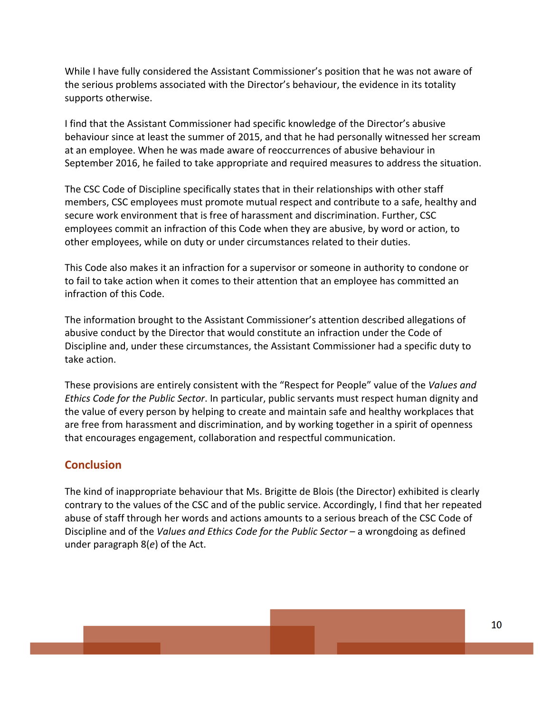While I have fully considered the Assistant Commissioner's position that he was not aware of the serious problems associated with the Director's behaviour, the evidence in its totality supports otherwise.

I find that the Assistant Commissioner had specific knowledge of the Director's abusive behaviour since at least the summer of 2015, and that he had personally witnessed her scream at an employee. When he was made aware of reoccurrences of abusive behaviour in September 2016, he failed to take appropriate and required measures to address the situation.

The CSC Code of Discipline specifically states that in their relationships with other staff members, CSC employees must promote mutual respect and contribute to a safe, healthy and secure work environment that is free of harassment and discrimination. Further, CSC employees commit an infraction of this Code when they are abusive, by word or action, to other employees, while on duty or under circumstances related to their duties.

This Code also makes it an infraction for a supervisor or someone in authority to condone or to fail to take action when it comes to their attention that an employee has committed an infraction of this Code.

The information brought to the Assistant Commissioner's attention described allegations of abusive conduct by the Director that would constitute an infraction under the Code of Discipline and, under these circumstances, the Assistant Commissioner had a specific duty to take action.

These provisions are entirely consistent with the "Respect for People" value of the *Values and Ethics Code for the Public Sector*. In particular, public servants must respect human dignity and the value of every person by helping to create and maintain safe and healthy workplaces that are free from harassment and discrimination, and by working together in a spirit of openness that encourages engagement, collaboration and respectful communication.

# **Conclusion**

The kind of inappropriate behaviour that Ms. Brigitte de Blois (the Director) exhibited is clearly contrary to the values of the CSC and of the public service. Accordingly, I find that her repeated abuse of staff through her words and actions amounts to a serious breach of the CSC Code of Discipline and of the *Values and Ethics Code for the Public Sector* – a wrongdoing as defined under paragraph 8(*e*) of the Act.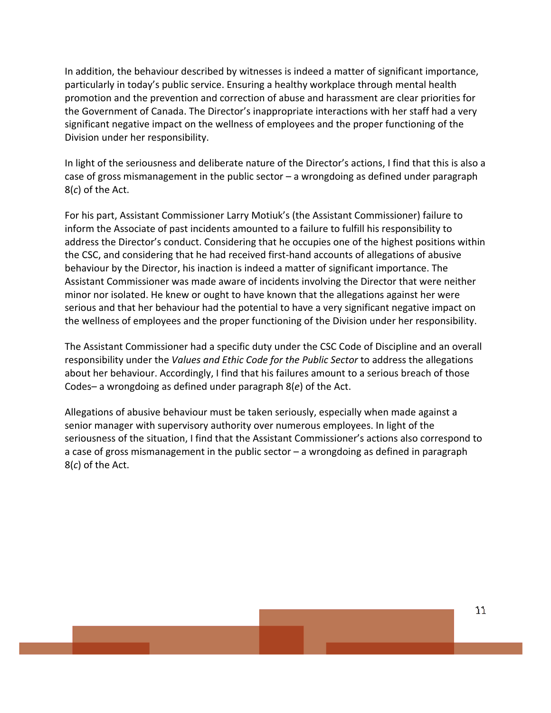In addition, the behaviour described by witnesses is indeed a matter of significant importance, particularly in today's public service. Ensuring a healthy workplace through mental health promotion and the prevention and correction of abuse and harassment are clear priorities for the Government of Canada. The Director's inappropriate interactions with her staff had a very significant negative impact on the wellness of employees and the proper functioning of the Division under her responsibility.

In light of the seriousness and deliberate nature of the Director's actions, I find that this is also a case of gross mismanagement in the public sector – a wrongdoing as defined under paragraph 8(*c*) of the Act.

For his part, Assistant Commissioner Larry Motiuk's (the Assistant Commissioner) failure to inform the Associate of past incidents amounted to a failure to fulfill his responsibility to address the Director's conduct. Considering that he occupies one of the highest positions within the CSC, and considering that he had received first‐hand accounts of allegations of abusive behaviour by the Director, his inaction is indeed a matter of significant importance. The Assistant Commissioner was made aware of incidents involving the Director that were neither minor nor isolated. He knew or ought to have known that the allegations against her were serious and that her behaviour had the potential to have a very significant negative impact on the wellness of employees and the proper functioning of the Division under her responsibility.

The Assistant Commissioner had a specific duty under the CSC Code of Discipline and an overall responsibility under the *Values and Ethic Code for the Public Sector* to address the allegations about her behaviour. Accordingly, I find that his failures amount to a serious breach of those Codes– a wrongdoing as defined under paragraph 8(*e*) of the Act.

Allegations of abusive behaviour must be taken seriously, especially when made against a senior manager with supervisory authority over numerous employees. In light of the seriousness of the situation, I find that the Assistant Commissioner's actions also correspond to a case of gross mismanagement in the public sector – a wrongdoing as defined in paragraph 8(*c*) of the Act.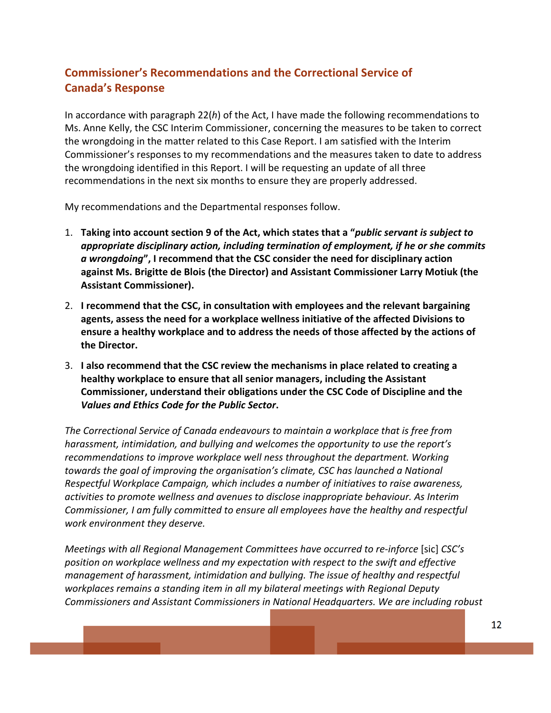# **Commissioner's Recommendations and the Correctional Service of Canada's Response**

In accordance with paragraph 22(*h*) of the Act, I have made the following recommendations to Ms. Anne Kelly, the CSC Interim Commissioner, concerning the measures to be taken to correct the wrongdoing in the matter related to this Case Report. I am satisfied with the Interim Commissioner's responses to my recommendations and the measures taken to date to address the wrongdoing identified in this Report. I will be requesting an update of all three recommendations in the next six months to ensure they are properly addressed.

My recommendations and the Departmental responses follow.

- 1. **Taking into account section 9 of the Act, which states that a "***public servant is subject to appropriate disciplinary action, including termination of employment, if he or she commits a wrongdoing***", I recommend that the CSC consider the need for disciplinary action against Ms. Brigitte de Blois (the Director) and Assistant Commissioner Larry Motiuk (the Assistant Commissioner).**
- 2. **I recommend that the CSC, in consultation with employees and the relevant bargaining agents, assess the need for a workplace wellness initiative of the affected Divisions to ensure a healthy workplace and to address the needs of those affected by the actions of the Director.**
- 3. **I also recommend that the CSC review the mechanisms in place related to creating a healthy workplace to ensure that all senior managers, including the Assistant Commissioner, understand their obligations under the CSC Code of Discipline and the** *Values and Ethics Code for the Public Sector***.**

*The Correctional Service of Canada endeavours to maintain a workplace that is free from harassment, intimidation, and bullying and welcomes the opportunity to use the report's recommendations to improve workplace well ness throughout the department. Working towards the goal of improving the organisation's climate, CSC has launched a National Respectful Workplace Campaign, which includes a number of initiatives to raise awareness, activities to promote wellness and avenues to disclose inappropriate behaviour. As Interim Commissioner, I am fully committed to ensure all employees have the healthy and respectful work environment they deserve.*

*Meetings with all Regional Management Committees have occurred to re‐inforce* [sic] *CSC's position on workplace wellness and my expectation with respect to the swift and effective management of harassment, intimidation and bullying. The issue of healthy and respectful workplaces remains a standing item in all my bilateral meetings with Regional Deputy Commissioners and Assistant Commissioners in National Headquarters. We are including robust*